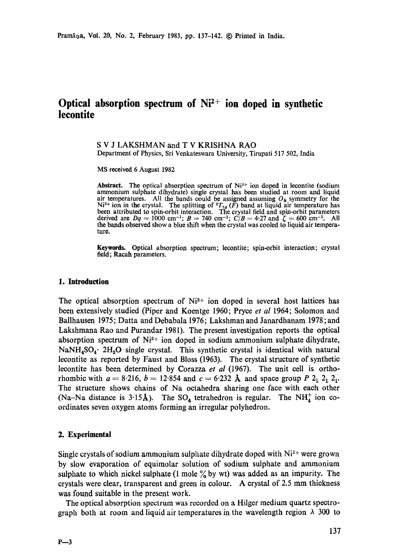# Optical absorption spectrum of Ni<sup>2+</sup> ion doped in synthetic **iecontite**

S V J LAKSHMAN and T V KRISHNA RAO Department of Physics, Sri Venkateswara University, Tirupati 517 502, India

MS received 6 August 1982

Abstract. The optical absorption spectrum of Ni<sup>2+</sup> ion doped in lecontite (sodium ammonium sulphate dihydrate) single crystal has been studied at room and liquid air temperatures. All the bands could be assigned assuming  $O_h$  symmetry for the Ni<sup>2+</sup> ion in the crystal. The splitting of  ${}^{3}T_{1g}$  (F) band at liquid air temperature has been attributed to spin-orbit interaction. The crystal field and spin-orbit parameters derived are  $Dq = 1000 \text{ cm}^{-1}$ ;  $B = 740 \text{ cm}^{-1}$ ;  $C/B = 4.27 \text{ and } \zeta = 600 \text{ cm}^{-1}$ . All the bands observed show a blue shift when the crystal was cooled to liquid air temperature.

**Keywords.** Optical absorption spectrum; lecontite; spin-orbit interaction; crystal field; Racah parameters.

### **1. Introduction**

The optical absorption spectrum of  $Ni<sup>2+</sup>$  ion doped in several host lattices has been extensively studied (Piper and Koentge 1960; Pryce *et al* 1964; Solomon and Ballhausen 1975; Datta and Debabala 1976; Lakshman and Janardhanam 1978; and Lakshmana Rao and Purandar 1981). The present investigation reports the optical absorption spectrum of  $Ni<sup>2+</sup>$  ion doped in sodium ammonium sulphate dihydrate, NaNH<sub>4</sub>SO<sub>4</sub>. 2H<sub>2</sub>O single crystal. This synthetic crystal is identical with natural lecontite as reported by Faust and Bloss (1963). The crystal structure of synthetic leeontite has been determined by Corazza *et al* (1967). The unit cell is orthorhombic with  $a = 8.216$ ,  $b = 12.854$  and  $c = 6.232$  Å and space group P  $2<sub>1</sub> 2<sub>1</sub> 2<sub>1</sub>$ . The structure shows chains of Na octahedra sharing one face with each other (Na-Na distance is 3.15Å). The  $SO_4$  tetrahedron is regular. The NH<sup>+</sup> ion coordinates seven oxygen atoms forming an irregular polyhedron.

### **2. Experimental**

Single crystals of sodium ammonium sulphate dihydrate doped with  $Ni<sup>2+</sup>$  were grown by slow evaporation of equimolar solution of sodium sulphate and ammonium sulphate to which nickel sulphate (1 mole  $\%$  by wt) was added as an impurity. The crystals were clear, transparent and green in colour. A crystal of 2.5 mm thickness was found suitable in the present work.

The optical absorption spectrum was recorded on a Hilger medium quartz spectrograph both at room and liquid air temperatures in the wavelength region  $\lambda$  300 to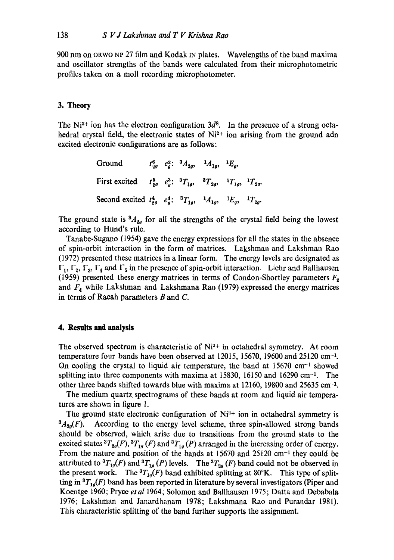900 nm on ORWO NP 27 film and Kodak IN plates. Wavelengths of the band maxima and oscillator strengths of the bands were calculated from their microphotometric profiles taken on a moll recording microphotometer.

# **3. Theory**

The Ni<sup>2+</sup> ion has the electron configuration  $3d^8$ . In the presence of a strong octahedral crystal field, the electronic states of Ni<sup>2+</sup> ion arising from the ground adn excited electronic configurations are as follows:

| Ground                                                                                         |  | $t_{2g}^6$ $e_a^2$ : ${}^3A_{2g}$ , ${}^1A_{1g}$ , ${}^1E_g$ . |  |
|------------------------------------------------------------------------------------------------|--|----------------------------------------------------------------|--|
| First excited $t_{2g}^5$ $e_a^3$ : ${}^3T_{1g}$ , ${}^3T_{2g}$ , ${}^1T_{1g}$ , ${}^1T_{2g}$ . |  |                                                                |  |
| Second excited $t_{2g}^4$ $e_g^4$ : ${}^3T_{1g}$ , ${}^1A_{1g}$ , ${}^1E_g$ , ${}^1T_{2g}$ .   |  |                                                                |  |

The ground state is  ${}^3A_{2q}$  for all the strengths of the crystal field being the lowest according to Hund's rule.

Tanabe-Sugano (1954) gave the energy expressions for all the states in the absence of spin-orbit interaction in the form of matrices. Lakshman and Lakshman Rao (1972) presented these matrices in a linear form. The energy levels are designated as  $\Gamma_1$ ,  $\Gamma_2$ ,  $\Gamma_3$ ,  $\Gamma_4$  and  $\Gamma_5$  in the presence of spin-orbit interaction. Liehr and Ballhausen (1959) presented these energy matrices in terms of Condon-Shortley parameters  $F_2$ and  $F_4$  while Lakshman and Lakshmana Rao (1979) expressed the energy matrices in terms of Racah parameters  $B$  and  $C$ .

## **4. Results and analysis**

The observed spectrum is characteristic of  $Ni^{2+}$  in octahedral symmetry. At room temperature four bands have been observed at  $12015$ , 15670, 19600 and  $25120 \text{ cm}^{-1}$ . On cooling the crystal to liquid air temperature, the band at  $15670 \text{ cm}^{-1}$  showed splitting into three components with maxima at  $15830$ ,  $16150$  and  $16290$  cm<sup>-1</sup>. The other three bands shifted towards blue with maxima at 12160, 19800 and 25635 cm-k

The medium quartz spectrograms of these bands at room and liquid air temperatures are shown in figure 1.

The ground state electronic configuration of  $N_i^{2+}$  ion in octahedral symmetry is  ${}^3A_{2q}(F)$ . According to the energy level scheme, three spin-allowed strong bands should be observed, which arise due to transitions from the ground state to the excited states  ${}^{3}T_{29}(F)$ ,  ${}^{3}T_{19}(F)$  and  ${}^{3}T_{19}(P)$  arranged in the increasing order of energy. From the nature and position of the bands at  $15670$  and  $25120$  cm<sup>-1</sup> they could be attributed to  ${}^{3}T_{1g}(F)$  and  ${}^{3}T_{1g}(P)$  levels. The  ${}^{3}T_{2g}(F)$  band could not be observed in the present work. The  ${}^{3}T_{1g}(F)$  band exhibited splitting at 80°K. This type of splitting in  ${}^{3}T_{1g}(F)$  band has been reported in literature by several investigators (Piper and Koentge 1960; Pryce *et al* 1964; Solomon and Ballhausen 1975; Datta and Debabala 1976; Lakshman and Janardhanam 1978; Lakshmana Rao and Purandar 1981). This characteristic splitting of the band further supports the assignment.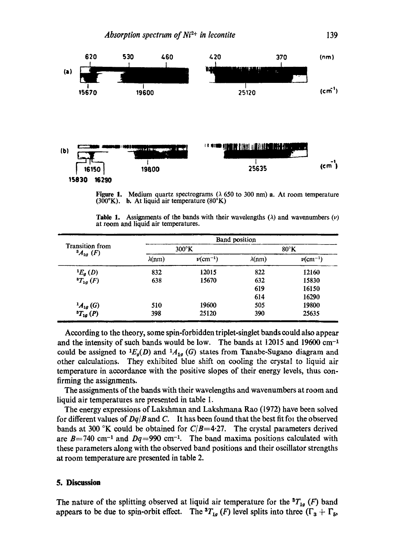

Figure 1. Medium quartz spectrograms ( $\lambda$  650 to 300 nm) a. At room temperature (300°K). b. At liquid air temperature  $(80^{\circ}K)$ 

|                                      |  |  | <b>Table 1.</b> Assignments of the bands with their wavelengths ( $\lambda$ ) and wavenumbers ( $\nu$ ) |  |
|--------------------------------------|--|--|---------------------------------------------------------------------------------------------------------|--|
| at room and liquid air temperatures. |  |  |                                                                                                         |  |

| <b>Transition</b> from<br>$^{3}A_{20}$ (F) |                | <b>Band position</b>      |                |                           |  |  |
|--------------------------------------------|----------------|---------------------------|----------------|---------------------------|--|--|
|                                            |                | $300^{\circ}$ K           | $80^{\circ}$ K |                           |  |  |
|                                            | $\lambda$ (nm) | $\nu$ (cm <sup>-1</sup> ) | $\lambda$ (nm) | $\nu$ (cm <sup>-1</sup> ) |  |  |
| ${}^1E_q(D)$                               | 832            | 12015                     | 822            | 12160                     |  |  |
| ${}^{8}T_{1g}(F)$                          | 638            | 15670                     | 632            | 15830                     |  |  |
|                                            |                |                           | 619            | 16150                     |  |  |
|                                            |                |                           | 614            | 16290                     |  |  |
| ${}^1A_{1g}(G)$                            | 510            | 19600                     | 505            | 19800                     |  |  |
| ${}^{3}T_{1g}$ (P)                         | 398            | 25120                     | 390            | 25635                     |  |  |

According to the theory, some spin-forbidden triplet-singlet bands could also appear and the intensity of such bands would be low. The bands at  $12015$  and  $19600$  cm<sup>-1</sup> could be assigned to  ${}^1E_a(D)$  and  ${}^1A_{1a}$  (G) states from Tanabe-Sugano diagram and other calculations. They exhibited blue shift on cooling the crystal to liquid air temperature in accordance with the positive slopes of their energy levels, thus confirming the assignments.

The assignments of the bands with their wavelengths and wavenumbers at room and liquid air temperatures are presented in table 1.

The energy expressions of Lakshman and Lakshmana Rao (1972) have been solved for different values of *Dq/B* and C. It has been found that the best fit for the observed bands at 300 °K could be obtained for  $C/B=4.27$ . The crystal parameters derived are  $B = 740$  cm<sup>-1</sup> and  $Dq = 990$  cm<sup>-1</sup>. The band maxima positions calculated with these parameters along with the observed band positions and their oscillator strengths at room temperature are presented in table 2.

## **5. Discussion**

The nature of the splitting observed at liquid air temperature for the  ${}^{3}T_{1g}$  (F) band appears to be due to spin-orbit effect. The  ${}^{3}T_{1g}$  (F) level splits into three ( $\Gamma_3 + \Gamma_5$ ,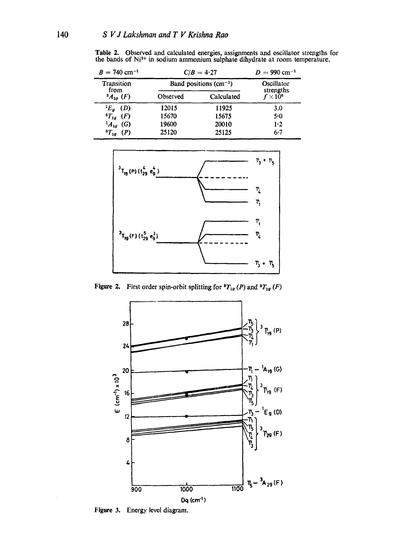**Table** 2. Observed and calculated energies, assignments and oscillator strengths for the bands of  $Ni<sup>2+</sup>$  in sodium ammonium sulphate dihydrate at room temperature.

| $B = 740$ cm <sup>-1</sup>            | $C/B = 4.27$            | $D = 990$ cm <sup>-1</sup> |                              |
|---------------------------------------|-------------------------|----------------------------|------------------------------|
| Transition<br>from<br>$^{3}A_{2a}(F)$ | Band positions $(cm-1)$ | Oscillator                 |                              |
|                                       | Observed                | Calculated                 | strengths<br>$f \times 10^6$ |
| $E_g$ (D)                             | 12015                   | 11925                      | 3.0                          |
| ${}^{8}T_{1g}$ (F)                    | 15670                   | 15675                      | 5.0                          |
| $^{1}A_{1g}$ (G)                      | 19600                   | 20010                      | $1-2$                        |
| ${}^{3}T_{1g}$ (P)                    | 25120                   | 25125                      | $6 - 7$                      |



Figure 2. First order spin-orbit splitting for  ${}^3T_{1g}(P)$  and  ${}^3T_{1g}(F)$ 



**Figure 3.** Energy level diagram.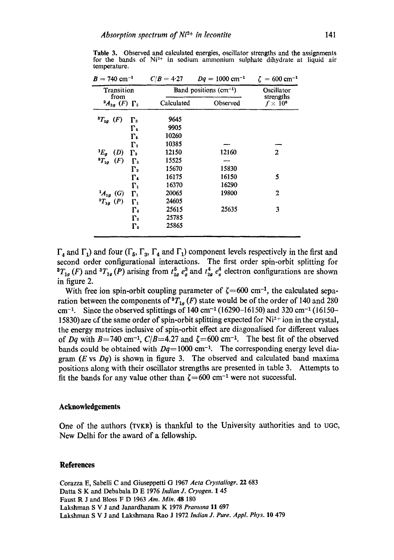**Table** 3. Observed and calculated energies, oscillator strengths and the assignments for the bands of  $Ni<sup>2+</sup>$  in sodium ammonium sulphate dihydrate at liquid air temperature.

| $B = 740$ cm <sup>-1</sup>            | $C/B = 4.27$ | $Dq = 1000$ cm <sup>-1</sup> | $\zeta = 600 \text{ cm}^{-1}$ |  |  |
|---------------------------------------|--------------|------------------------------|-------------------------------|--|--|
| Transition                            |              | Band positions $(cm^{-1})$   |                               |  |  |
| from<br>$^{3}A_{2g}$ (F) $\Gamma_5$   | Calculated   | Observed                     | strengths<br>$f \times 10^6$  |  |  |
| ${}^{3}T_{2g}$ (F)<br>$\Gamma_{3}$    | 9645         |                              |                               |  |  |
| г.                                    | 9905         |                              |                               |  |  |
| $\Gamma_{5}$                          | 10260        |                              |                               |  |  |
| $\Gamma_{2}$                          | 10385        |                              |                               |  |  |
| $E_a$<br>(D)<br>$\Gamma_{3}$          | 12150        | 12160                        | $\mathbf{2}$                  |  |  |
| (F)<br>${}^{3}T_{1g}$<br>$\Gamma_{5}$ | 15525        |                              |                               |  |  |
| $\Gamma_{3}$                          | 15670        | 15830                        |                               |  |  |
| г.                                    | 16175        | 16150                        | 5                             |  |  |
| $\Gamma_1$                            | 16370        | 16290                        |                               |  |  |
| $^{1}A_{1g}$ (G)<br>г.                | 20065        | 19800                        | $\overline{2}$                |  |  |
| ${}^{3}T_{1g}$ (P)<br>$\Gamma_1$      | 24605        |                              |                               |  |  |
| $\Gamma_{4}$                          | 25615        | 25635                        | 3                             |  |  |
| $\Gamma_{3}$                          | 25785        |                              |                               |  |  |
| $\Gamma_{5}$                          | 25865        |                              |                               |  |  |
|                                       |              |                              |                               |  |  |

 $\Gamma_4$  and  $\Gamma_1$ ) and four ( $\Gamma_5$ ,  $\Gamma_3$ ,  $\Gamma_4$  and  $\Gamma_1$ ) component levels respectively in the first and second order configurational interactions. The first order spin-orbit splitting for  ${}^{3}T_{1g}(F)$  and  ${}^{3}T_{1g}(P)$  arising from  $t_{2g}^{5}e_{g}^{3}$  and  $t_{2g}^{4}e_{g}^{4}$  electron configurations are shown in figure 2.

With free ion spin-orbit coupling parameter of  $\zeta$  = 600 cm<sup>-1</sup>, the calculated separation between the components of  ${}^{3}T_{1g}$  (F) state would be of the order of 140 and 280 cm<sup>-1</sup>. Since the observed splittings of 140 cm<sup>-1</sup> (16290-16150) and 320 cm<sup>-1</sup> (16150-15830) are of the same order of spin-orbit splitting expected for  $Ni^{2+}$  ion in the crystal, the energy matrices inclusive of spin-orbit effect are diagonalised for different values of *Dq* with B=740 cm<sup>-1</sup>,  $C/B$ =4.27 and  $\zeta$ =600 cm<sup>-1</sup>. The best fit of the observed bands could be obtained with  $Dq=1000$  cm<sup>-1</sup>. The corresponding energy level diagram (E vs *Dq)* is shown in figure 3. The observed and calculated band maxima positions along with their oscillator strengths are presented in table 3. Attempts to fit the bands for any value other than  $\zeta$  = 600 cm<sup>-1</sup> were not successful.

## **Acknowledgements**

One of the authors ( $TVKR$ ) is thankful to the University authorities and to ugc, New Delhi for the award of a fellowship.

#### **References**

Corazza E, Sabelli C and Giuseppetti G 1967 *Aeta Crystallogr.* 22 683 Datta S K and Debabala D E 1976 *Indian J. Cryogen.* 1 45 Faust R J and Bloss F D 1963 *Am. Min.* 48 180 Lakshman S V J and Janardhanam K 1978 *Pramana* 11 697 Lakshman S V J and Lakshmana Rao J 1972 *Indian J. Pure. Appl. Phys.* 10 479